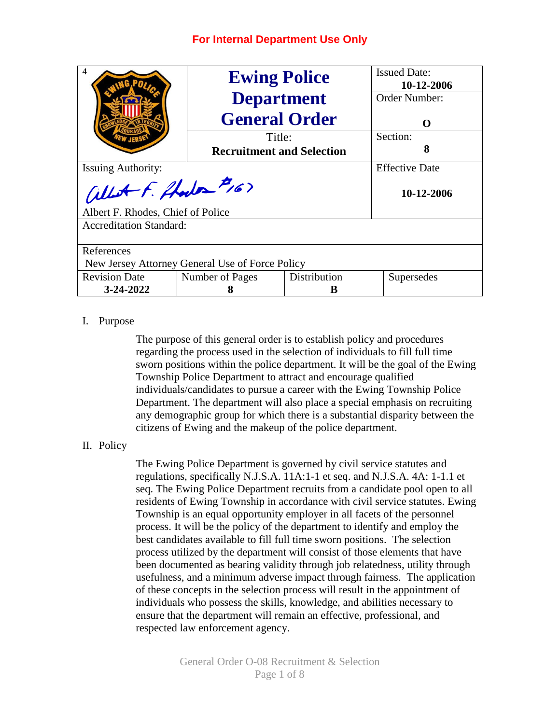| $\overline{4}$                                  | <b>Ewing Police</b>              | <b>Issued Date:</b> |            |  |  |  |  |  |  |  |
|-------------------------------------------------|----------------------------------|---------------------|------------|--|--|--|--|--|--|--|
|                                                 |                                  | 10-12-2006          |            |  |  |  |  |  |  |  |
|                                                 | <b>Department</b>                | Order Number:       |            |  |  |  |  |  |  |  |
|                                                 | <b>General Order</b>             | $\Omega$            |            |  |  |  |  |  |  |  |
|                                                 |                                  | Title:              |            |  |  |  |  |  |  |  |
|                                                 | <b>Recruitment and Selection</b> | 8                   |            |  |  |  |  |  |  |  |
| <b>Issuing Authority:</b>                       | <b>Effective Date</b>            |                     |            |  |  |  |  |  |  |  |
| allet F. Hodes #16>                             | 10-12-2006                       |                     |            |  |  |  |  |  |  |  |
| Albert F. Rhodes, Chief of Police               |                                  |                     |            |  |  |  |  |  |  |  |
| <b>Accreditation Standard:</b>                  |                                  |                     |            |  |  |  |  |  |  |  |
|                                                 |                                  |                     |            |  |  |  |  |  |  |  |
| References                                      |                                  |                     |            |  |  |  |  |  |  |  |
| New Jersey Attorney General Use of Force Policy |                                  |                     |            |  |  |  |  |  |  |  |
| <b>Revision Date</b>                            | Number of Pages                  | Distribution        | Supersedes |  |  |  |  |  |  |  |
| $3 - 24 - 2022$                                 | 8                                | R                   |            |  |  |  |  |  |  |  |

## I. Purpose

The purpose of this general order is to establish policy and procedures regarding the process used in the selection of individuals to fill full time sworn positions within the police department. It will be the goal of the Ewing Township Police Department to attract and encourage qualified individuals/candidates to pursue a career with the Ewing Township Police Department. The department will also place a special emphasis on recruiting any demographic group for which there is a substantial disparity between the citizens of Ewing and the makeup of the police department.

## II. Policy

The Ewing Police Department is governed by civil service statutes and regulations, specifically N.J.S.A. 11A:1-1 et seq. and N.J.S.A. 4A: 1-1.1 et seq. The Ewing Police Department recruits from a candidate pool open to all residents of Ewing Township in accordance with civil service statutes. Ewing Township is an equal opportunity employer in all facets of the personnel process. It will be the policy of the department to identify and employ the best candidates available to fill full time sworn positions. The selection process utilized by the department will consist of those elements that have been documented as bearing validity through job relatedness, utility through usefulness, and a minimum adverse impact through fairness. The application of these concepts in the selection process will result in the appointment of individuals who possess the skills, knowledge, and abilities necessary to ensure that the department will remain an effective, professional, and respected law enforcement agency.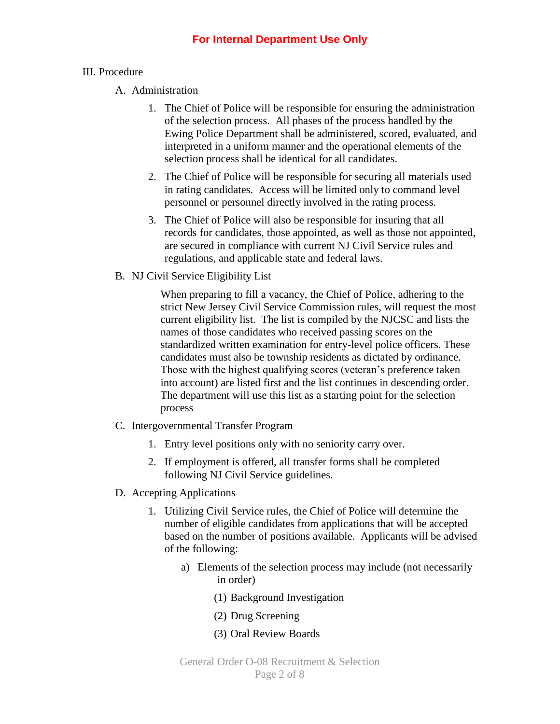## III. Procedure

- A. Administration
	- 1. The Chief of Police will be responsible for ensuring the administration of the selection process. All phases of the process handled by the Ewing Police Department shall be administered, scored, evaluated, and interpreted in a uniform manner and the operational elements of the selection process shall be identical for all candidates.
	- 2. The Chief of Police will be responsible for securing all materials used in rating candidates. Access will be limited only to command level personnel or personnel directly involved in the rating process.
	- 3. The Chief of Police will also be responsible for insuring that all records for candidates, those appointed, as well as those not appointed, are secured in compliance with current NJ Civil Service rules and regulations, and applicable state and federal laws.
- B. NJ Civil Service Eligibility List

When preparing to fill a vacancy, the Chief of Police, adhering to the strict New Jersey Civil Service Commission rules, will request the most current eligibility list. The list is compiled by the NJCSC and lists the names of those candidates who received passing scores on the standardized written examination for entry-level police officers. These candidates must also be township residents as dictated by ordinance. Those with the highest qualifying scores (veteran's preference taken into account) are listed first and the list continues in descending order. The department will use this list as a starting point for the selection process

- C. Intergovernmental Transfer Program
	- 1. Entry level positions only with no seniority carry over.
	- 2. If employment is offered, all transfer forms shall be completed following NJ Civil Service guidelines.
- D. Accepting Applications
	- 1. Utilizing Civil Service rules, the Chief of Police will determine the number of eligible candidates from applications that will be accepted based on the number of positions available. Applicants will be advised of the following:
		- a) Elements of the selection process may include (not necessarily in order)
			- (1) Background Investigation
			- (2) Drug Screening
			- (3) Oral Review Boards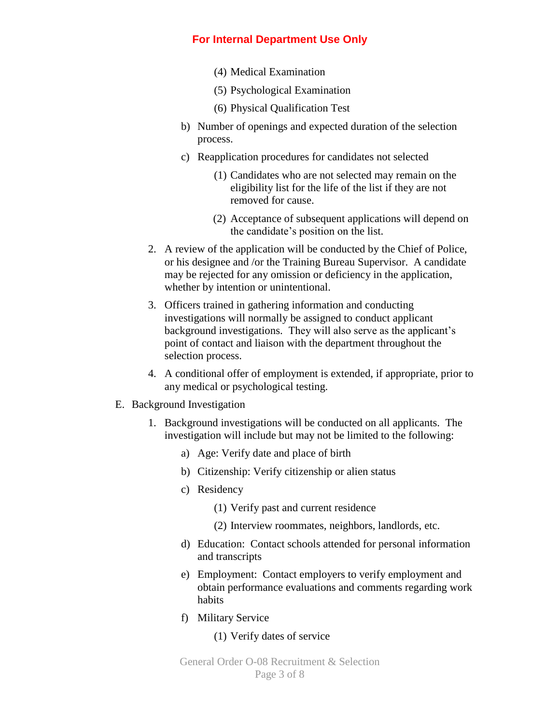- (4) Medical Examination
- (5) Psychological Examination
- (6) Physical Qualification Test
- b) Number of openings and expected duration of the selection process.
- c) Reapplication procedures for candidates not selected
	- (1) Candidates who are not selected may remain on the eligibility list for the life of the list if they are not removed for cause.
	- (2) Acceptance of subsequent applications will depend on the candidate's position on the list.
- 2. A review of the application will be conducted by the Chief of Police, or his designee and /or the Training Bureau Supervisor. A candidate may be rejected for any omission or deficiency in the application, whether by intention or unintentional.
- 3. Officers trained in gathering information and conducting investigations will normally be assigned to conduct applicant background investigations. They will also serve as the applicant's point of contact and liaison with the department throughout the selection process.
- 4. A conditional offer of employment is extended, if appropriate, prior to any medical or psychological testing.
- E. Background Investigation
	- 1. Background investigations will be conducted on all applicants. The investigation will include but may not be limited to the following:
		- a) Age: Verify date and place of birth
		- b) Citizenship: Verify citizenship or alien status
		- c) Residency
			- (1) Verify past and current residence
			- (2) Interview roommates, neighbors, landlords, etc.
		- d) Education: Contact schools attended for personal information and transcripts
		- e) Employment: Contact employers to verify employment and obtain performance evaluations and comments regarding work habits
		- f) Military Service

#### (1) Verify dates of service

General Order O-08 Recruitment & Selection Page 3 of 8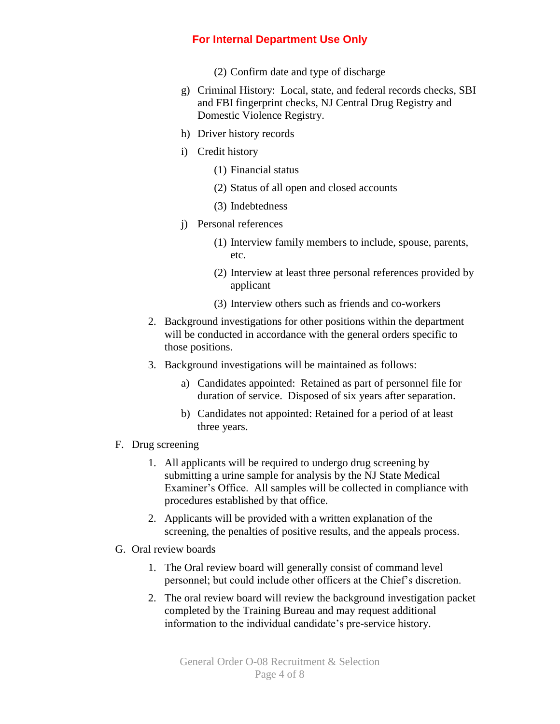- (2) Confirm date and type of discharge
- g) Criminal History: Local, state, and federal records checks, SBI and FBI fingerprint checks, NJ Central Drug Registry and Domestic Violence Registry.
- h) Driver history records
- i) Credit history
	- (1) Financial status
	- (2) Status of all open and closed accounts
	- (3) Indebtedness
- j) Personal references
	- (1) Interview family members to include, spouse, parents, etc.
	- (2) Interview at least three personal references provided by applicant
	- (3) Interview others such as friends and co-workers
- 2. Background investigations for other positions within the department will be conducted in accordance with the general orders specific to those positions.
- 3. Background investigations will be maintained as follows:
	- a) Candidates appointed: Retained as part of personnel file for duration of service. Disposed of six years after separation.
	- b) Candidates not appointed: Retained for a period of at least three years.
- F. Drug screening
	- 1. All applicants will be required to undergo drug screening by submitting a urine sample for analysis by the NJ State Medical Examiner's Office. All samples will be collected in compliance with procedures established by that office.
	- 2. Applicants will be provided with a written explanation of the screening, the penalties of positive results, and the appeals process.
- G. Oral review boards
	- 1. The Oral review board will generally consist of command level personnel; but could include other officers at the Chief's discretion.
	- 2. The oral review board will review the background investigation packet completed by the Training Bureau and may request additional information to the individual candidate's pre-service history.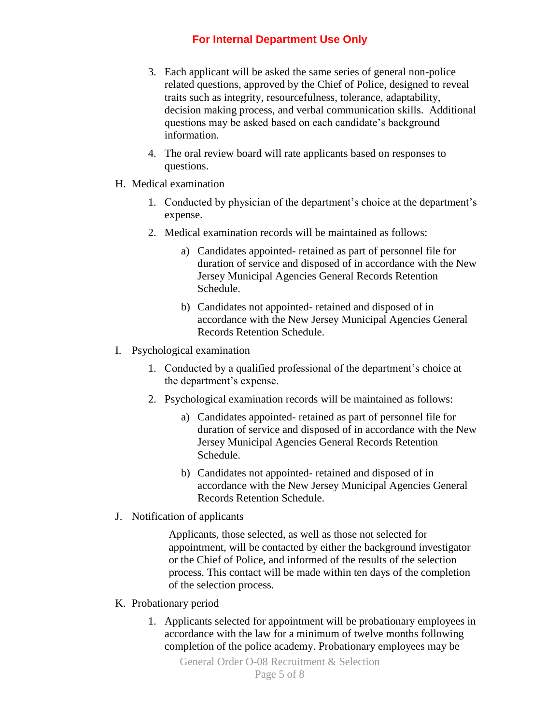- 3. Each applicant will be asked the same series of general non-police related questions, approved by the Chief of Police, designed to reveal traits such as integrity, resourcefulness, tolerance, adaptability, decision making process, and verbal communication skills. Additional questions may be asked based on each candidate's background information.
- 4. The oral review board will rate applicants based on responses to questions.
- H. Medical examination
	- 1. Conducted by physician of the department's choice at the department's expense.
	- 2. Medical examination records will be maintained as follows:
		- a) Candidates appointed- retained as part of personnel file for duration of service and disposed of in accordance with the New Jersey Municipal Agencies General Records Retention Schedule.
		- b) Candidates not appointed- retained and disposed of in accordance with the New Jersey Municipal Agencies General Records Retention Schedule.
- I. Psychological examination
	- 1. Conducted by a qualified professional of the department's choice at the department's expense.
	- 2. Psychological examination records will be maintained as follows:
		- a) Candidates appointed- retained as part of personnel file for duration of service and disposed of in accordance with the New Jersey Municipal Agencies General Records Retention Schedule.
		- b) Candidates not appointed- retained and disposed of in accordance with the New Jersey Municipal Agencies General Records Retention Schedule.
- J. Notification of applicants

Applicants, those selected, as well as those not selected for appointment, will be contacted by either the background investigator or the Chief of Police, and informed of the results of the selection process. This contact will be made within ten days of the completion of the selection process.

- K. Probationary period
	- 1. Applicants selected for appointment will be probationary employees in accordance with the law for a minimum of twelve months following completion of the police academy. Probationary employees may be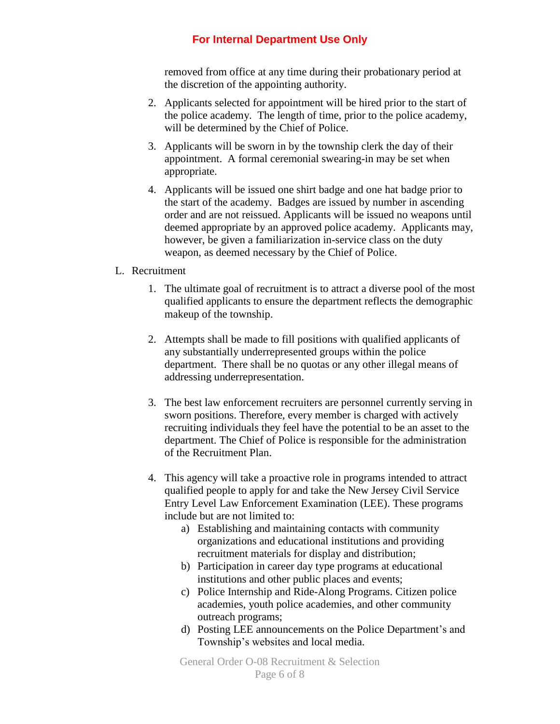removed from office at any time during their probationary period at the discretion of the appointing authority.

- 2. Applicants selected for appointment will be hired prior to the start of the police academy. The length of time, prior to the police academy, will be determined by the Chief of Police.
- 3. Applicants will be sworn in by the township clerk the day of their appointment. A formal ceremonial swearing-in may be set when appropriate.
- 4. Applicants will be issued one shirt badge and one hat badge prior to the start of the academy. Badges are issued by number in ascending order and are not reissued. Applicants will be issued no weapons until deemed appropriate by an approved police academy. Applicants may, however, be given a familiarization in-service class on the duty weapon, as deemed necessary by the Chief of Police.

## L. Recruitment

- 1. The ultimate goal of recruitment is to attract a diverse pool of the most qualified applicants to ensure the department reflects the demographic makeup of the township.
- 2. Attempts shall be made to fill positions with qualified applicants of any substantially underrepresented groups within the police department. There shall be no quotas or any other illegal means of addressing underrepresentation.
- 3. The best law enforcement recruiters are personnel currently serving in sworn positions. Therefore, every member is charged with actively recruiting individuals they feel have the potential to be an asset to the department. The Chief of Police is responsible for the administration of the Recruitment Plan.
- 4. This agency will take a proactive role in programs intended to attract qualified people to apply for and take the New Jersey Civil Service Entry Level Law Enforcement Examination (LEE). These programs include but are not limited to:
	- a) Establishing and maintaining contacts with community organizations and educational institutions and providing recruitment materials for display and distribution;
	- b) Participation in career day type programs at educational institutions and other public places and events;
	- c) Police Internship and Ride-Along Programs. Citizen police academies, youth police academies, and other community outreach programs;
	- d) Posting LEE announcements on the Police Department's and Township's websites and local media.

General Order O-08 Recruitment & Selection Page 6 of 8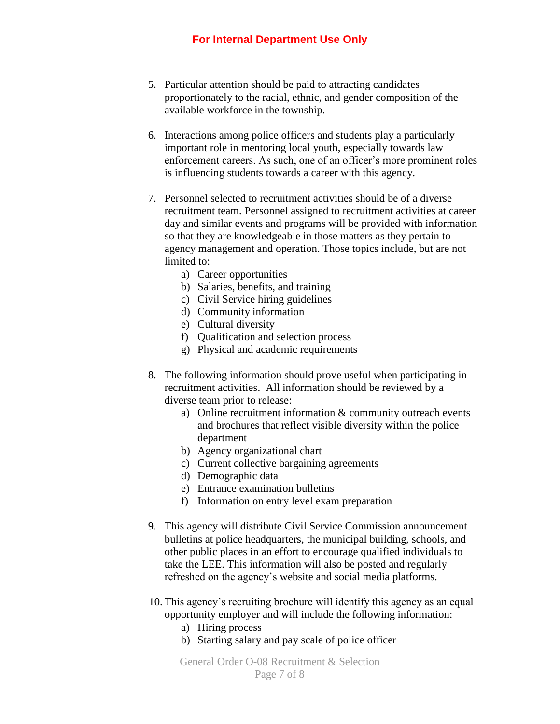- 5. Particular attention should be paid to attracting candidates proportionately to the racial, ethnic, and gender composition of the available workforce in the township.
- 6. Interactions among police officers and students play a particularly important role in mentoring local youth, especially towards law enforcement careers. As such, one of an officer's more prominent roles is influencing students towards a career with this agency.
- 7. Personnel selected to recruitment activities should be of a diverse recruitment team. Personnel assigned to recruitment activities at career day and similar events and programs will be provided with information so that they are knowledgeable in those matters as they pertain to agency management and operation. Those topics include, but are not limited to:
	- a) Career opportunities
	- b) Salaries, benefits, and training
	- c) Civil Service hiring guidelines
	- d) Community information
	- e) Cultural diversity
	- f) Qualification and selection process
	- g) Physical and academic requirements
- 8. The following information should prove useful when participating in recruitment activities. All information should be reviewed by a diverse team prior to release:
	- a) Online recruitment information & community outreach events and brochures that reflect visible diversity within the police department
	- b) Agency organizational chart
	- c) Current collective bargaining agreements
	- d) Demographic data
	- e) Entrance examination bulletins
	- f) Information on entry level exam preparation
- 9. This agency will distribute Civil Service Commission announcement bulletins at police headquarters, the municipal building, schools, and other public places in an effort to encourage qualified individuals to take the LEE. This information will also be posted and regularly refreshed on the agency's website and social media platforms.
- 10. This agency's recruiting brochure will identify this agency as an equal opportunity employer and will include the following information:
	- a) Hiring process
	- b) Starting salary and pay scale of police officer

General Order O-08 Recruitment & Selection Page 7 of 8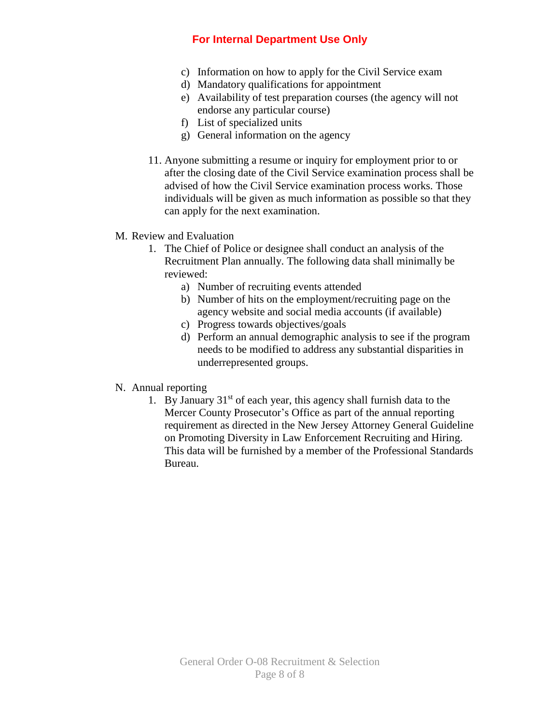- c) Information on how to apply for the Civil Service exam
- d) Mandatory qualifications for appointment
- e) Availability of test preparation courses (the agency will not endorse any particular course)
- f) List of specialized units
- g) General information on the agency
- 11. Anyone submitting a resume or inquiry for employment prior to or after the closing date of the Civil Service examination process shall be advised of how the Civil Service examination process works. Those individuals will be given as much information as possible so that they can apply for the next examination.

## M. Review and Evaluation

- 1. The Chief of Police or designee shall conduct an analysis of the Recruitment Plan annually. The following data shall minimally be reviewed:
	- a) Number of recruiting events attended
	- b) Number of hits on the employment/recruiting page on the agency website and social media accounts (if available)
	- c) Progress towards objectives/goals
	- d) Perform an annual demographic analysis to see if the program needs to be modified to address any substantial disparities in underrepresented groups.

## N. Annual reporting

1. By January  $31<sup>st</sup>$  of each year, this agency shall furnish data to the Mercer County Prosecutor's Office as part of the annual reporting requirement as directed in the New Jersey Attorney General Guideline on Promoting Diversity in Law Enforcement Recruiting and Hiring. This data will be furnished by a member of the Professional Standards Bureau.